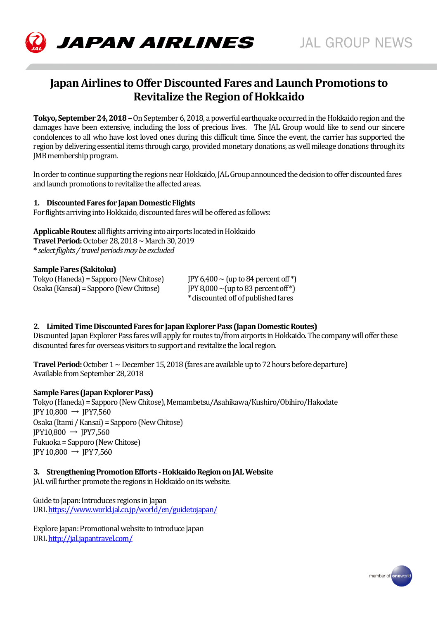

# **Japan Airlines to Offer Discounted Fares and Launch Promotions to Revitalize the Region of Hokkaido**

**Tokyo, September 24, 2018 –**On September 6, 2018, a powerful earthquake occurred in the Hokkaido region and the damages have been extensive, including the loss of precious lives. The JAL Group would like to send our sincere condolences to all who have lost loved ones during this difficult time. Since the event, the carrier has supported the region by delivering essential items through cargo, provided monetary donations, as well mileage donations through its JMB membership program.

In order to continue supporting the regions near Hokkaido, JAL Group announced the decision to offer discounted fares and launch promotions to revitalize the affected areas.

### **1. Discounted Fares for Japan Domestic Flights**

For flights arriving into Hokkaido, discounted fares will be offered as follows:

**Applicable Routes:** all flights arriving into airports located in Hokkaido **TravelPeriod:**October 28, 2018~ March 30, 2019 **\*** *select flights / travel periods may be excluded*

**Sample Fares (Sakitoku)** Tokyo (Haneda) = Sapporo (New Chitose)  $IPY 6,400 \sim (up to 84$  percent of  $*)$ Osaka (Kansai) = Sapporo (New Chitose) JPY 8,000  $\sim$  (up to 83 percent of  $\checkmark$ )

\*discounted off of published fares

## **2. Limited Time Discounted Fares for Japan Explorer Pass (Japan Domestic Routes)**

Discounted Japan Explorer Pass fares will apply for routes to/from airports in Hokkaido. The company will offer these discounted fares for overseas visitors to support and revitalize the local region.

**Travel Period:** October 1 ~ December 15, 2018(fares are available up to 72 hours before departure) Available from September 28, 2018

#### **Sample Fares (Japan Explorer Pass)**

Tokyo (Haneda) = Sapporo (New Chitose), Memambetsu/Asahikawa/Kushiro/Obihiro/Hakodate  $IPY 10,800 \rightarrow IPY7,560$ Osaka (Itami / Kansai) = Sapporo (New Chitose)  $IPY10,800 \rightarrow IPY7,560$ Fukuoka = Sapporo (New Chitose)  $IPY 10,800 \rightarrow IPY 7,560$ 

#### **3. Strengthening Promotion Efforts - Hokkaido Region on JAL Website**

JAL will further promote the regions in Hokkaido on its website.

Guide to Japan: Introduces regions in Japan UR[L https://www.world.jal.co.jp/world/en/guidetojapan/](https://www.world.jal.co.jp/world/en/guidetojapan/)

Explore Japan: Promotional website to introduce Japan UR[L http://jal.japantravel.com/](http://jal.japantravel.com/)